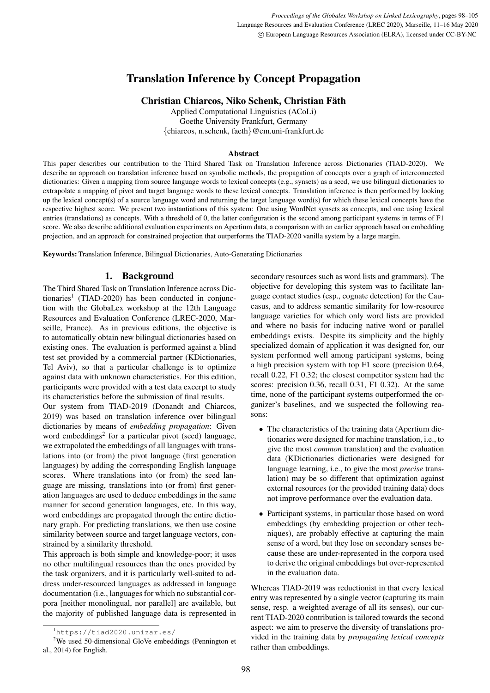# Translation Inference by Concept Propagation

# Christian Chiarcos, Niko Schenk, Christian Fath ¨

Applied Computational Linguistics (ACoLi) Goethe University Frankfurt, Germany {chiarcos, n.schenk, faeth}@em.uni-frankfurt.de

#### Abstract

This paper describes our contribution to the Third Shared Task on Translation Inference across Dictionaries (TIAD-2020). We describe an approach on translation inference based on symbolic methods, the propagation of concepts over a graph of interconnected dictionaries: Given a mapping from source language words to lexical concepts (e.g., synsets) as a seed, we use bilingual dictionaries to extrapolate a mapping of pivot and target language words to these lexical concepts. Translation inference is then performed by looking up the lexical concept(s) of a source language word and returning the target language word(s) for which these lexical concepts have the respective highest score. We present two instantiations of this system: One using WordNet synsets as concepts, and one using lexical entries (translations) as concepts. With a threshold of 0, the latter configuration is the second among participant systems in terms of F1 score. We also describe additional evaluation experiments on Apertium data, a comparison with an earlier approach based on embedding projection, and an approach for constrained projection that outperforms the TIAD-2020 vanilla system by a large margin.

Keywords: Translation Inference, Bilingual Dictionaries, Auto-Generating Dictionaries

# 1. Background

The Third Shared Task on Translation Inference across Dic-tionaries<sup>[1](#page-0-0)</sup> (TIAD-2020) has been conducted in conjunction with the GlobaLex workshop at the 12th Language Resources and Evaluation Conference (LREC-2020, Marseille, France). As in previous editions, the objective is to automatically obtain new bilingual dictionaries based on existing ones. The evaluation is performed against a blind test set provided by a commercial partner (KDictionaries, Tel Aviv), so that a particular challenge is to optimize against data with unknown characteristics. For this edition, participants were provided with a test data excerpt to study its characteristics before the submission of final results.

Our system from TIAD-2019 [\(Donandt and Chiarcos,](#page-7-0) [2019\)](#page-7-0) was based on translation inference over bilingual dictionaries by means of *embedding propagation*: Given word embeddings<sup>[2](#page-0-1)</sup> for a particular pivot (seed) language, we extrapolated the embeddings of all languages with translations into (or from) the pivot language (first generation languages) by adding the corresponding English language scores. Where translations into (or from) the seed language are missing, translations into (or from) first generation languages are used to deduce embeddings in the same manner for second generation languages, etc. In this way, word embeddings are propagated through the entire dictionary graph. For predicting translations, we then use cosine similarity between source and target language vectors, constrained by a similarity threshold.

This approach is both simple and knowledge-poor; it uses no other multilingual resources than the ones provided by the task organizers, and it is particularly well-suited to address under-resourced languages as addressed in language documentation (i.e., languages for which no substantial corpora [neither monolingual, nor parallel] are available, but the majority of published language data is represented in secondary resources such as word lists and grammars). The objective for developing this system was to facilitate language contact studies (esp., cognate detection) for the Caucasus, and to address semantic similarity for low-resource language varieties for which only word lists are provided and where no basis for inducing native word or parallel embeddings exists. Despite its simplicity and the highly specialized domain of application it was designed for, our system performed well among participant systems, being a high precision system with top F1 score (precision 0.64, recall 0.22, F1 0.32; the closest competitor system had the scores: precision 0.36, recall 0.31, F1 0.32). At the same time, none of the participant systems outperformed the organizer's baselines, and we suspected the following reasons:

- The characteristics of the training data (Apertium dictionaries were designed for machine translation, i.e., to give the most *common* translation) and the evaluation data (KDictionaries dictionaries were designed for language learning, i.e., to give the most *precise* translation) may be so different that optimization against external resources (or the provided training data) does not improve performance over the evaluation data.
- Participant systems, in particular those based on word embeddings (by embedding projection or other techniques), are probably effective at capturing the main sense of a word, but they lose on secondary senses because these are under-represented in the corpora used to derive the original embeddings but over-represented in the evaluation data.

Whereas TIAD-2019 was reductionist in that every lexical entry was represented by a single vector (capturing its main sense, resp. a weighted average of all its senses), our current TIAD-2020 contribution is tailored towards the second aspect: we aim to preserve the diversity of translations provided in the training data by *propagating lexical concepts* rather than embeddings.

<span id="page-0-1"></span><span id="page-0-0"></span><sup>1</sup><https://tiad2020.unizar.es/>

<sup>2</sup>We used 50-dimensional GloVe embeddings [\(Pennington et](#page-7-1) [al., 2014\)](#page-7-1) for English.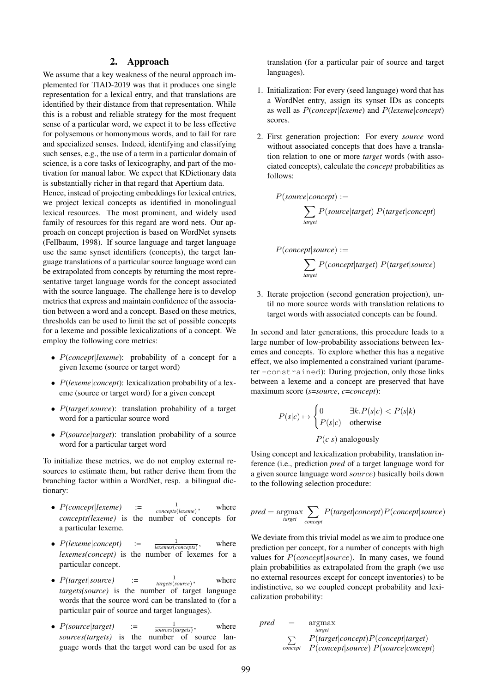## 2. Approach

We assume that a key weakness of the neural approach implemented for TIAD-2019 was that it produces one single representation for a lexical entry, and that translations are identified by their distance from that representation. While this is a robust and reliable strategy for the most frequent sense of a particular word, we expect it to be less effective for polysemous or homonymous words, and to fail for rare and specialized senses. Indeed, identifying and classifying such senses, e.g., the use of a term in a particular domain of science, is a core tasks of lexicography, and part of the motivation for manual labor. We expect that KDictionary data is substantially richer in that regard that Apertium data.

Hence, instead of projecting embeddings for lexical entries, we project lexical concepts as identified in monolingual lexical resources. The most prominent, and widely used family of resources for this regard are word nets. Our approach on concept projection is based on WordNet synsets [\(Fellbaum, 1998\)](#page-7-2). If source language and target language use the same synset identifiers (concepts), the target language translations of a particular source language word can be extrapolated from concepts by returning the most representative target language words for the concept associated with the source language. The challenge here is to develop metrics that express and maintain confidence of the association between a word and a concept. Based on these metrics, thresholds can be used to limit the set of possible concepts for a lexeme and possible lexicalizations of a concept. We employ the following core metrics:

- P(*concept*|*lexeme*): probability of a concept for a given lexeme (source or target word)
- P(*lexeme*|*concept*): lexicalization probability of a lexeme (source or target word) for a given concept
- P(*target*|*source*): translation probability of a target word for a particular source word
- *P(source|target)*: translation probability of a source word for a particular target word

To initialize these metrics, we do not employ external resources to estimate them, but rather derive them from the branching factor within a WordNet, resp. a bilingual dictionary:

- $\bullet$   $P(concept|lexeme)$  := *concepts*(*lexeme*) where *concepts(lexeme)* is the number of concepts for a particular lexeme.
- $\bullet$   $P(lexeme|concept)$  := *lexemes*(*concepts*) where *lexemes(concept)* is the number of lexemes for a particular concept.
- $P(target|source)$  := *targets*(*source*) where *targets(source)* is the number of target language words that the source word can be translated to (for a particular pair of source and target languages).
- $P(\text{source}|\text{target})$  :=  $\frac{1}{\sqrt{1-\frac{1}{\sqrt{1-\frac{1}{\sqrt{1-\frac{1}{\sqrt{1-\frac{1}{\sqrt{1-\frac{1}{\sqrt{1-\frac{1}{\sqrt{1-\frac{1}{\sqrt{1-\frac{1}{\sqrt{1-\frac{1}{\sqrt{1-\frac{1}{\sqrt{1-\frac{1}{\sqrt{1-\frac{1}{\sqrt{1-\frac{1}{\sqrt{1-\frac{1}{\sqrt{1-\frac{1}{\sqrt{1-\frac{1}{\sqrt{1-\frac{1}{\sqrt{1-\frac{1}{\sqrt{1-\frac{1}{\sqrt{1-\frac{1}{\sqrt{1-\frac{1}{\sqrt{1-\frac{$ *sources*(*targets*) where *sources(targets)* is the number of source language words that the target word can be used for as

translation (for a particular pair of source and target languages).

- 1. Initialization: For every (seed language) word that has a WordNet entry, assign its synset IDs as concepts as well as P(*concept*|*lexeme*) and P(*lexeme*|*concept*) scores.
- 2. First generation projection: For every *source* word without associated concepts that does have a translation relation to one or more *target* words (with associated concepts), calculate the *concept* probabilities as follows:

$$
P(source|concept) :=
$$
  

$$
\sum_{target} P(source|target) P(target|concept)
$$

$$
P(concept|source) :=
$$
  

$$
\sum_{target} P(concept|target) P(target|source)
$$

3. Iterate projection (second generation projection), until no more source words with translation relations to target words with associated concepts can be found.

In second and later generations, this procedure leads to a large number of low-probability associations between lexemes and concepts. To explore whether this has a negative effect, we also implemented a constrained variant (parameter -constrained): During projection, only those links between a lexeme and a concept are preserved that have maximum score (*s*=*source*, *c*=*concept*):

$$
P(s|c) \mapsto \begin{cases} 0 & \exists k.P(s|c) < P(s|k) \\ P(s|c) & \text{otherwise} \end{cases}
$$

$$
P(c|s) \text{ analogously}
$$

Using concept and lexicalization probability, translation inference (i.e., prediction *pred* of a target language word for a given source language word source) basically boils down to the following selection procedure:

$$
pred = \underset{target}{\operatorname{argmax}} \sum_{concept} P(target|concept)P(concept|source)
$$

We deviate from this trivial model as we aim to produce one prediction per concept, for a number of concepts with high values for  $P(concept|source)$ . In many cases, we found plain probabilities as extrapolated from the graph (we use no external resources except for concept inventories) to be indistinctive, so we coupled concept probability and lexicalization probability:

pred = 
$$
\mathop{\rm argmax}_{\substack{target \\ \sum \text{ concept} \ (concept|concept)P(concept|target) \\ concept \ P(concept|source) P(source|concept)}
$$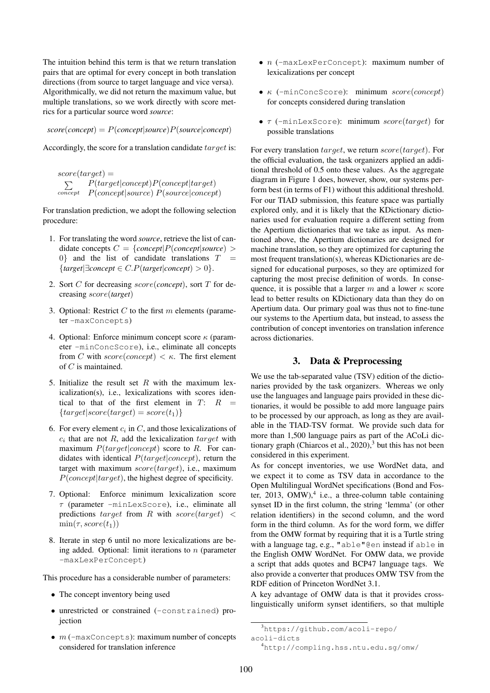The intuition behind this term is that we return translation pairs that are optimal for every concept in both translation directions (from source to target language and vice versa). Algorithmically, we did not return the maximum value, but multiple translations, so we work directly with score metrics for a particular source word *source*:

 $score(concept) = P(concept|source)P(source|concept)$ 

Accordingly, the score for a translation candidate target is:

 $score(target) =$  $\sum$ concept P(concept|source) P(source|concept)  $P(target|concept)P(concept|target)$ 

For translation prediction, we adopt the following selection procedure:

- 1. For translating the word *source*, retrieve the list of candidate concepts  $C = \{concept | P(concept | source) \ge$  $0$ } and the list of candidate translations  $T$ {*target*|∃*concept* ∈ C.P(*target*|*concept*) > 0}.
- 2. Sort C for decreasing score(*concept*), sort T for decreasing score(*target*)
- 3. Optional: Restrict  $C$  to the first  $m$  elements (parameter -maxConcepts)
- 4. Optional: Enforce minimum concept score  $\kappa$  (parameter -minConcScore), i.e., eliminate all concepts from C with  $score(concept) < \kappa$ . The first element of C is maintained.
- 5. Initialize the result set  $R$  with the maximum lexicalization(s), i.e., lexicalizations with scores identical to that of the first element in  $T: R =$  ${target|score(target) = score(t_1)}$
- <span id="page-2-0"></span>6. For every element  $c_i$  in  $C$ , and those lexicalizations of  $c_i$  that are not  $R$ , add the lexicalization  $target$  with maximum  $P(target|concept)$  score to R. For candidates with identical  $P(target|concept)$ , return the target with maximum  $score(target)$ , i.e., maximum  $P(concept | target)$ , the highest degree of specificity.
- 7. Optional: Enforce minimum lexicalization score  $\tau$  (parameter -minLexScore), i.e., eliminate all predictions target from R with  $score(target) <$  $min(\tau, score(t_1))$
- 8. Iterate in step [6](#page-2-0) until no more lexicalizations are being added. Optional: limit iterations to  $n$  (parameter -maxLexPerConcept)

This procedure has a considerable number of parameters:

- The concept inventory being used
- unrestricted or constrained (-constrained) projection
- $\bullet$   $m$  (-maxConcepts): maximum number of concepts considered for translation inference
- $\bullet$   $n$  (-maxLexPerConcept): maximum number of lexicalizations per concept
- $\kappa$  (-minConcScore): minimum score(concept) for concepts considered during translation
- $\tau$  (-minLexScore): minimum score(target) for possible translations

For every translation target, we return score(target). For the official evaluation, the task organizers applied an additional threshold of 0.5 onto these values. As the aggregate diagram in Figure [1](#page-3-0) does, however, show, our systems perform best (in terms of F1) without this additional threshold. For our TIAD submission, this feature space was partially explored only, and it is likely that the KDictionary dictionaries used for evaluation require a different setting from the Apertium dictionaries that we take as input. As mentioned above, the Apertium dictionaries are designed for machine translation, so they are optimized for capturing the most frequent translation(s), whereas KDictionaries are designed for educational purposes, so they are optimized for capturing the most precise definition of words. In consequence, it is possible that a larger m and a lower  $\kappa$  score lead to better results on KDictionary data than they do on Apertium data. Our primary goal was thus not to fine-tune our systems to the Apertium data, but instead, to assess the contribution of concept inventories on translation inference across dictionaries.

### 3. Data & Preprocessing

We use the tab-separated value (TSV) edition of the dictionaries provided by the task organizers. Whereas we only use the languages and language pairs provided in these dictionaries, it would be possible to add more language pairs to be processed by our approach, as long as they are available in the TIAD-TSV format. We provide such data for more than 1,500 language pairs as part of the ACoLi dictionary graph (Chiarcos et al.,  $2020$ ),<sup>[3](#page-2-1)</sup> but this has not been considered in this experiment.

As for concept inventories, we use WordNet data, and we expect it to come as TSV data in accordance to the Open Multilingual WordNet specifications [\(Bond and Fos](#page-7-4)[ter, 2013,](#page-7-4) OMW), $4$  i.e., a three-column table containing synset ID in the first column, the string 'lemma' (or other relation identifiers) in the second column, and the word form in the third column. As for the word form, we differ from the OMW format by requiring that it is a Turtle string with a language tag, e.g., "able"@en instead if able in the English OMW WordNet. For OMW data, we provide a script that adds quotes and BCP47 language tags. We also provide a converter that produces OMW TSV from the RDF edition of Princeton WordNet 3.1.

A key advantage of OMW data is that it provides crosslinguistically uniform synset identifiers, so that multiple

<span id="page-2-1"></span><sup>3</sup>[https://github.com/acoli-repo/](https://github.com/acoli-repo/acoli-dicts)

[acoli-dicts](https://github.com/acoli-repo/acoli-dicts)

<span id="page-2-2"></span><sup>4</sup><http://compling.hss.ntu.edu.sg/omw/>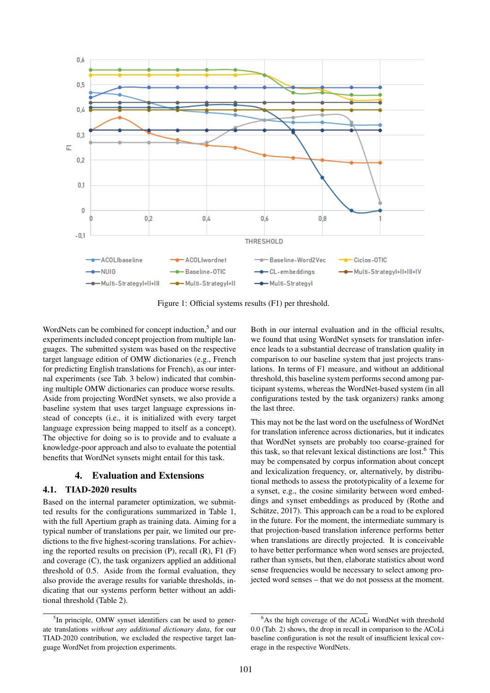

<span id="page-3-0"></span>Figure 1: Official systems results (F1) per threshold.

WordNets can be combined for concept induction,<sup>[5](#page-3-1)</sup> and our experiments included concept projection from multiple languages. The submitted system was based on the respective target language edition of OMW dictionaries (e.g., French for predicting English translations for French), as our internal experiments (see Tab. [3](#page-6-0) below) indicated that combining multiple OMW dictionaries can produce worse results. Aside from projecting WordNet synsets, we also provide a baseline system that uses target language expressions instead of concepts (i.e., it is initialized with every target language expression being mapped to itself as a concept). The objective for doing so is to provide and to evaluate a knowledge-poor approach and also to evaluate the potential benefits that WordNet synsets might entail for this task.

## 4. Evaluation and Extensions

## 4.1. TIAD-2020 results

Based on the internal parameter optimization, we submitted results for the configurations summarized in Table [1,](#page-4-0) with the full Apertium graph as training data. Aiming for a typical number of translations per pair, we limited our predictions to the five highest-scoring translations. For achieving the reported results on precision  $(P)$ , recall  $(R)$ ,  $F1$   $(F)$ and coverage (C), the task organizers applied an additional threshold of 0.5. Aside from the formal evaluation, they also provide the average results for variable thresholds, indicating that our systems perform better without an additional threshold (Table [2\)](#page-4-1).

Both in our internal evaluation and in the official results, we found that using WordNet synsets for translation inference leads to a substantial decrease of translation quality in comparison to our baseline system that just projects translations. In terms of F1 measure, and without an additional threshold, this baseline system performs second among participant systems, whereas the WordNet-based system (in all configurations tested by the task organizers) ranks among the last three.

This may not be the last word on the usefulness of WordNet for translation inference across dictionaries, but it indicates that WordNet synsets are probably too coarse-grained for this task, so that relevant lexical distinctions are lost.[6](#page-3-2) This may be compensated by corpus information about concept and lexicalization frequency, or, alternatively, by distributional methods to assess the prototypicality of a lexeme for a synset, e.g., the cosine similarity between word embeddings and synset embeddings as produced by [\(Rothe and](#page-7-5) Schütze,  $2017$ ). This approach can be a road to be explored in the future. For the moment, the intermediate summary is that projection-based translation inference performs better when translations are directly projected. It is conceivable to have better performance when word senses are projected, rather than synsets, but then, elaborate statistics about word sense frequencies would be necessary to select among projected word senses – that we do not possess at the moment.

<span id="page-3-1"></span><sup>&</sup>lt;sup>5</sup>In principle, OMW synset identifiers can be used to generate translations *without any additional dictionary data*, for our TIAD-2020 contribution, we excluded the respective target language WordNet from projection experiments.

<span id="page-3-2"></span><sup>&</sup>lt;sup>6</sup>As the high coverage of the ACoLi WordNet with threshold 0.0 (Tab. [2\)](#page-4-1) shows, the drop in recall in comparison to the ACoLi baseline configuration is not the result of insufficient lexical coverage in the respective WordNets.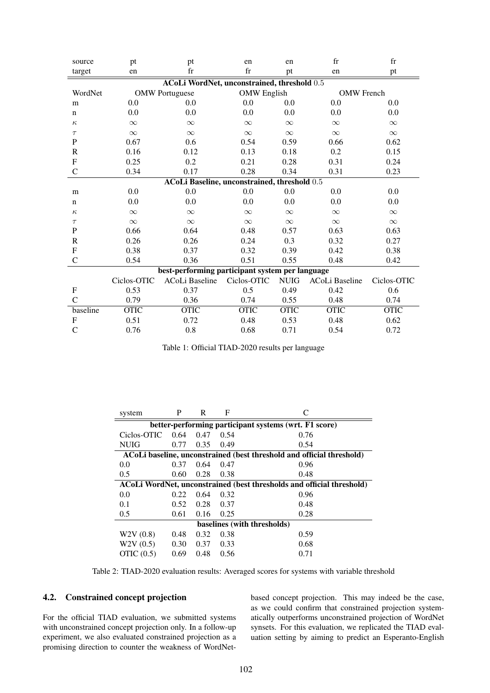| source                                          | pt          | pt                    | en                 | en          | $f_{r}$           | $f_{r}$     |  |  |  |  |  |
|-------------------------------------------------|-------------|-----------------------|--------------------|-------------|-------------------|-------------|--|--|--|--|--|
| target                                          | en          | $_{\rm fr}$           | $_{\rm fr}$        | pt          | en                | pt          |  |  |  |  |  |
| ACoLi WordNet, unconstrained, threshold 0.5     |             |                       |                    |             |                   |             |  |  |  |  |  |
| WordNet                                         |             | <b>OMW</b> Portuguese | <b>OMW</b> English |             | <b>OMW</b> French |             |  |  |  |  |  |
| m                                               | 0.0         | 0.0                   | 0.0                | 0.0         | 0.0               | 0.0         |  |  |  |  |  |
| $\mathbf n$                                     | 0.0         | 0.0                   | 0.0                | 0.0         | 0.0               | 0.0         |  |  |  |  |  |
| $\kappa$                                        | $\infty$    | $\infty$              | $\infty$           | $\infty$    | $\infty$          | $\infty$    |  |  |  |  |  |
| $\tau$                                          | $\infty$    | $\infty$              | $\infty$           | $\infty$    | $\infty$          | $\infty$    |  |  |  |  |  |
| P                                               | 0.67        | 0.6                   | 0.54               | 0.59        | 0.66              | 0.62        |  |  |  |  |  |
| $\mathbb{R}$                                    | 0.16        | 0.12                  | 0.13               | 0.18        | 0.2               | 0.15        |  |  |  |  |  |
| F                                               | 0.25        | 0.2                   | 0.21               | 0.28        | 0.31              | 0.24        |  |  |  |  |  |
| $\overline{C}$                                  | 0.34        | 0.17                  | 0.28               | 0.34        | 0.31              | 0.23        |  |  |  |  |  |
| ACoLi Baseline, unconstrained, threshold 0.5    |             |                       |                    |             |                   |             |  |  |  |  |  |
| m                                               | 0.0         | 0.0                   | 0.0                | 0.0         | 0.0               | 0.0         |  |  |  |  |  |
| $\mathbf n$                                     | 0.0         | 0.0                   | 0.0                | 0.0         | 0.0               | 0.0         |  |  |  |  |  |
| $\kappa$                                        | $\infty$    | $\infty$              | $\infty$           | $\infty$    | $\infty$          | $\infty$    |  |  |  |  |  |
| $\tau$                                          | $\infty$    | $\infty$              | $\infty$           | $\infty$    | $\infty$          | $\infty$    |  |  |  |  |  |
| P                                               | 0.66        | 0.64                  | 0.48               | 0.57        | 0.63              | 0.63        |  |  |  |  |  |
| R                                               | 0.26        | 0.26                  | 0.24               | 0.3         | 0.32              | 0.27        |  |  |  |  |  |
| $\mathbf{F}$                                    | 0.38        | 0.37                  | 0.32               | 0.39        | 0.42              | 0.38        |  |  |  |  |  |
| C                                               | 0.54        | 0.36                  | 0.51               | 0.55        | 0.48              | 0.42        |  |  |  |  |  |
| best-performing participant system per language |             |                       |                    |             |                   |             |  |  |  |  |  |
|                                                 | Ciclos-OTIC | <b>ACoLi Baseline</b> | Ciclos-OTIC        | <b>NUIG</b> | ACoLi Baseline    | Ciclos-OTIC |  |  |  |  |  |
| F                                               | 0.53        | 0.37                  | 0.5                | 0.49        | 0.42              | 0.6         |  |  |  |  |  |
| C                                               | 0.79        | 0.36                  | 0.74               | 0.55        | 0.48              | 0.74        |  |  |  |  |  |
| baseline                                        | <b>OTIC</b> | <b>OTIC</b>           | <b>OTIC</b>        | <b>OTIC</b> | <b>OTIC</b>       | <b>OTIC</b> |  |  |  |  |  |
| F                                               | 0.51        | 0.72                  | 0.48               | 0.53        | 0.48              | 0.62        |  |  |  |  |  |
| $\mathsf{C}$                                    | 0.76        | 0.8                   | 0.68               | 0.71        | 0.54              | 0.72        |  |  |  |  |  |

<span id="page-4-0"></span>Table 1: Official TIAD-2020 results per language

| system                                                                | P    | R    | F    |      |  |  |  |  |
|-----------------------------------------------------------------------|------|------|------|------|--|--|--|--|
| better-performing participant systems (wrt. F1 score)                 |      |      |      |      |  |  |  |  |
| Ciclos-OTIC                                                           | 0.64 | 0.47 | 0.54 | 0.76 |  |  |  |  |
| <b>NUIG</b>                                                           | 0.77 | 0.35 | 0.49 | 0.54 |  |  |  |  |
| ACoLi baseline, unconstrained (best threshold and official threshold) |      |      |      |      |  |  |  |  |
| 0.0                                                                   | 0.37 | 0.64 | 0.47 | 0.96 |  |  |  |  |
| 0.5                                                                   | 0.60 | 0.28 | 0.38 | 0.48 |  |  |  |  |
| ACoLi WordNet, unconstrained (best thresholds and official threshold) |      |      |      |      |  |  |  |  |
| 0.0                                                                   | 0.22 | 0.64 | 0.32 | 0.96 |  |  |  |  |
| 0.1                                                                   | 0.52 | 0.28 | 0.37 | 0.48 |  |  |  |  |
| 0.5                                                                   | 0.61 | 0.16 | 0.25 | 0.28 |  |  |  |  |
| baselines (with thresholds)                                           |      |      |      |      |  |  |  |  |
| W2V(0.8)                                                              | 0.48 | 0.32 | 0.38 | 0.59 |  |  |  |  |
| W2V(0.5)                                                              | 0.30 | 0.37 | 0.33 | 0.68 |  |  |  |  |
| OTIC $(0.5)$                                                          | 0.69 | 0.48 | 0.56 | 0.71 |  |  |  |  |

<span id="page-4-1"></span>Table 2: TIAD-2020 evaluation results: Averaged scores for systems with variable threshold

# 4.2. Constrained concept projection

For the official TIAD evaluation, we submitted systems with unconstrained concept projection only. In a follow-up experiment, we also evaluated constrained projection as a promising direction to counter the weakness of WordNetbased concept projection. This may indeed be the case, as we could confirm that constrained projection systematically outperforms unconstrained projection of WordNet synsets. For this evaluation, we replicated the TIAD evaluation setting by aiming to predict an Esperanto-English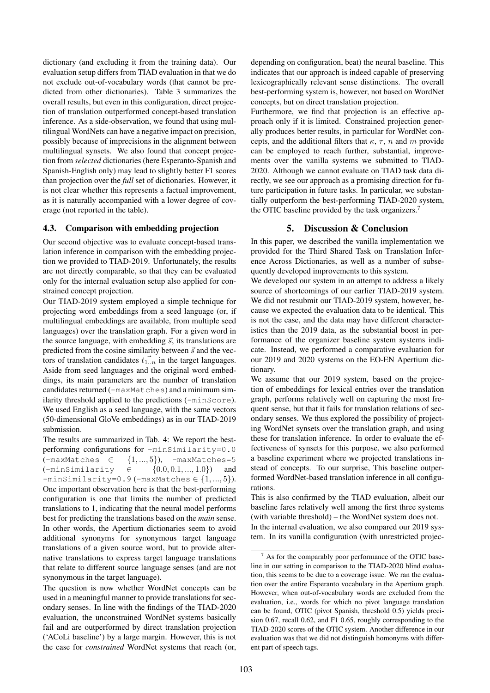dictionary (and excluding it from the training data). Our evaluation setup differs from TIAD evaluation in that we do not exclude out-of-vocabulary words (that cannot be predicted from other dictionaries). Table [3](#page-6-0) summarizes the overall results, but even in this configuration, direct projection of translation outperformed concept-based translation inference. As a side-observation, we found that using multilingual WordNets can have a negative impact on precision, possibly because of imprecisions in the alignment between multilingual synsets. We also found that concept projection from *selected* dictionaries (here Esperanto-Spanish and Spanish-English only) may lead to slightly better F1 scores than projection over the *full* set of dictionaries. However, it is not clear whether this represents a factual improvement, as it is naturally accompanied with a lower degree of coverage (not reported in the table).

#### 4.3. Comparison with embedding projection

Our second objective was to evaluate concept-based translation inference in comparison with the embedding projection we provided to TIAD-2019. Unfortunately, the results are not directly comparable, so that they can be evaluated only for the internal evaluation setup also applied for constrained concept projection.

Our TIAD-2019 system employed a simple technique for projecting word embeddings from a seed language (or, if multilingual embeddings are available, from multiple seed languages) over the translation graph. For a given word in the source language, with embedding  $\vec{s}$ , its translations are predicted from the cosine similarity between  $\vec{s}$  and the vectors of translation candidates  $\vec{t}_{1..n}$  in the target languages. Aside from seed languages and the original word embeddings, its main parameters are the number of translation candidates returned (-maxMatches) and a minimum similarity threshold applied to the predictions (-minScore). We used English as a seed language, with the same vectors (50-dimensional GloVe embeddings) as in our TIAD-2019 submission.

The results are summarized in Tab. [4:](#page-6-1) We report the bestperforming configurations for -minSimilarity=0.0  $(-\text{maxMatches } \in \{1,...,5\}), -\text{maxMatches}=5$ (-minSimilarity ∈ {0.0, 0.1, ..., 1.0}) and  $-minSimilarly=0.9$  ( $-maxMathches \in \{1,...,5\}$ ). One important observation here is that the best-performing configuration is one that limits the number of predicted translations to 1, indicating that the neural model performs best for predicting the translations based on the *main* sense. In other words, the Apertium dictionaries seem to avoid additional synonyms for synonymous target language translations of a given source word, but to provide alternative translations to express target language translations that relate to different source language senses (and are not synonymous in the target language).

The question is now whether WordNet concepts can be used in a meaningful manner to provide translations for secondary senses. In line with the findings of the TIAD-2020 evaluation, the unconstrained WordNet systems basically fail and are outperformed by direct translation projection ('ACoLi baseline') by a large margin. However, this is not the case for *constrained* WordNet systems that reach (or, depending on configuration, beat) the neural baseline. This indicates that our approach is indeed capable of preserving lexicographically relevant sense distinctions. The overall best-performing system is, however, not based on WordNet concepts, but on direct translation projection.

Furthermore, we find that projection is an effective approach only if it is limited. Constrained projection generally produces better results, in particular for WordNet concepts, and the additional filters that  $\kappa$ ,  $\tau$ ,  $n$  and  $m$  provide can be employed to reach further, substantial, improvements over the vanilla systems we submitted to TIAD-2020. Although we cannot evaluate on TIAD task data directly, we see our approach as a promising direction for future participation in future tasks. In particular, we substantially outperform the best-performing TIAD-2020 system, the OTIC baseline provided by the task organizers.<sup>[7](#page-5-0)</sup>

#### 5. Discussion & Conclusion

In this paper, we described the vanilla implementation we provided for the Third Shared Task on Translation Inference Across Dictionaries, as well as a number of subsequently developed improvements to this system.

We developed our system in an attempt to address a likely source of shortcomings of our earlier TIAD-2019 system. We did not resubmit our TIAD-2019 system, however, because we expected the evaluation data to be identical. This is not the case, and the data may have different characteristics than the 2019 data, as the substantial boost in performance of the organizer baseline system systems indicate. Instead, we performed a comparative evaluation for our 2019 and 2020 systems on the EO-EN Apertium dictionary.

We assume that our 2019 system, based on the projection of embeddings for lexical entries over the translation graph, performs relatively well on capturing the most frequent sense, but that it fails for translation relations of secondary senses. We thus explored the possibility of projecting WordNet synsets over the translation graph, and using these for translation inference. In order to evaluate the effectiveness of synsets for this purpose, we also performed a baseline experiment where we projected translations instead of concepts. To our surprise, This baseline outperformed WordNet-based translation inference in all configurations.

This is also confirmed by the TIAD evaluation, albeit our baseline fares relatively well among the first three systems (with variable threshold) – the WordNet system does not. In the internal evaluation, we also compared our 2019 system. In its vanilla configuration (with unrestricted projec-

<span id="page-5-0"></span> $<sup>7</sup>$  As for the comparably poor performance of the OTIC base-</sup> line in our setting in comparison to the TIAD-2020 blind evaluation, this seems to be due to a coverage issue. We ran the evaluation over the entire Esperanto vocabulary in the Apertium graph. However, when out-of-vocabulary words are excluded from the evaluation, i.e., words for which no pivot language translation can be found, OTIC (pivot Spanish, threshold 0.5) yields precision 0.67, recall 0.62, and F1 0.65, roughly corresponding to the TIAD-2020 scores of the OTIC system. Another difference in our evaluation was that we did not distinguish homonyms with different part of speech tags.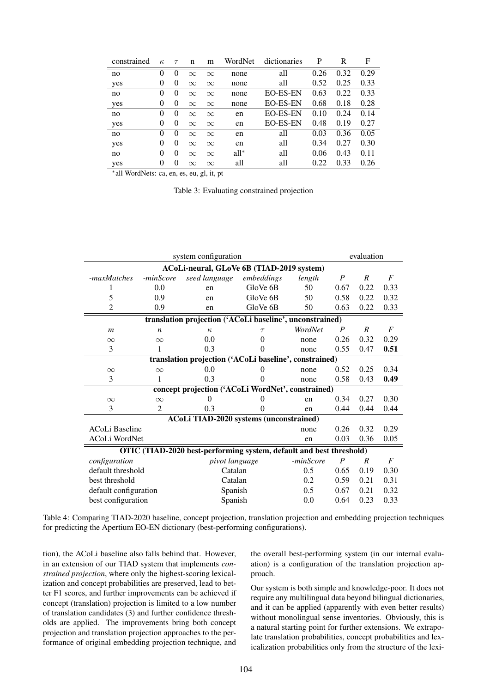| constrained    | $\kappa$ | $\tau$   | n        | m        | WordNet | dictionaries    | P    | R    | F    |
|----------------|----------|----------|----------|----------|---------|-----------------|------|------|------|
| no             | $\theta$ | 0        | $\infty$ | $\infty$ | none    | all             | 0.26 | 0.32 | 0.29 |
| yes            | 0        | $\theta$ | $\infty$ | $\infty$ | none    | all             | 0.52 | 0.25 | 0.33 |
| no             | $\theta$ | $\theta$ | $\infty$ | $\infty$ | none    | <b>EO-ES-EN</b> | 0.63 | 0.22 | 0.33 |
| yes            | $\theta$ | $\theta$ | $\infty$ | $\infty$ | none    | <b>EO-ES-EN</b> | 0.68 | 0.18 | 0.28 |
| no             | $\theta$ | $\theta$ | $\infty$ | $\infty$ | en      | <b>EO-ES-EN</b> | 0.10 | 0.24 | 0.14 |
| yes            | $\theta$ | $\theta$ | $\infty$ | $\infty$ | en      | <b>EO-ES-EN</b> | 0.48 | 0.19 | 0.27 |
| no             | $\theta$ | $\theta$ | $\infty$ | $\infty$ | en      | all             | 0.03 | 0.36 | 0.05 |
| yes            | $\theta$ | 0        | $\infty$ | $\infty$ | en      | all             | 0.34 | 0.27 | 0.30 |
| no             | $\theta$ | $\theta$ | $\infty$ | $\infty$ | $all^*$ | all             | 0.06 | 0.43 | 0.11 |
| yes            | $\theta$ | $\Omega$ | $\infty$ | $\infty$ | all     | all             | 0.22 | 0.33 | 0.26 |
| <b>Product</b> |          |          |          |          |         |                 |      |      |      |

∗ all WordNets: ca, en, es, eu, gl, it, pt

<span id="page-6-0"></span>Table 3: Evaluating constrained projection

| system configuration                                                |                  |                                                        |            |         |                  | evaluation     |                |  |  |  |  |  |
|---------------------------------------------------------------------|------------------|--------------------------------------------------------|------------|---------|------------------|----------------|----------------|--|--|--|--|--|
| ACoLi-neural, GLoVe 6B (TIAD-2019 system)                           |                  |                                                        |            |         |                  |                |                |  |  |  |  |  |
| -maxMatches                                                         | -minScore        | seed language                                          | embeddings | length  | $\boldsymbol{P}$ | R              | $\overline{F}$ |  |  |  |  |  |
|                                                                     | 0.0              | en                                                     | GloVe 6B   | 50      | 0.67             | 0.22           | 0.33           |  |  |  |  |  |
| 5                                                                   | 0.9              | en                                                     | GloVe 6B   | 50      | 0.58             | 0.22           | 0.32           |  |  |  |  |  |
| $\overline{2}$                                                      | 0.9              | en                                                     | GloVe 6B   | 50      | 0.63             | 0.22           | 0.33           |  |  |  |  |  |
| translation projection ('ACoLi baseline', unconstrained)            |                  |                                                        |            |         |                  |                |                |  |  |  |  |  |
| $\boldsymbol{m}$                                                    | $\boldsymbol{n}$ | $\kappa$                                               | $\tau$     | WordNet | $\boldsymbol{P}$ | R              | $\overline{F}$ |  |  |  |  |  |
| $\infty$                                                            | $\infty$         | 0.0                                                    | 0<br>none  |         | 0.26             | 0.32           | 0.29           |  |  |  |  |  |
| 3                                                                   | 1                | 0.3                                                    | 0          | none    | 0.55             | 0.47           | 0.51           |  |  |  |  |  |
|                                                                     |                  | translation projection ('ACoLi baseline', constrained) |            |         |                  |                |                |  |  |  |  |  |
| $\infty$                                                            | $\infty$         | 0.0                                                    |            | none    | 0.52             | 0.25           | 0.34           |  |  |  |  |  |
| 3                                                                   | 1                | 0.3                                                    | 0          | none    | 0.58             | 0.43           | 0.49           |  |  |  |  |  |
|                                                                     |                  | concept projection ('ACoLi WordNet', constrained)      |            |         |                  |                |                |  |  |  |  |  |
| $\infty$                                                            | $\infty$         | $\theta$                                               | 0          | en      | 0.34             | 0.27           | 0.30           |  |  |  |  |  |
| 3                                                                   | 2                | 0.3                                                    | 0          | en      | 0.44             | 0.44           | 0.44           |  |  |  |  |  |
|                                                                     |                  | <b>ACoLi TIAD-2020 systems (unconstrained)</b>         |            |         |                  |                |                |  |  |  |  |  |
| ACoLi Baseline                                                      |                  |                                                        |            | none    | 0.26             | 0.32           | 0.29           |  |  |  |  |  |
| ACoLi WordNet                                                       |                  |                                                        |            | en      | 0.03             | 0.36           | 0.05           |  |  |  |  |  |
| OTIC (TIAD-2020 best-performing system, default and best threshold) |                  |                                                        |            |         |                  |                |                |  |  |  |  |  |
| configuration                                                       |                  | -minScore<br>pivot language                            |            |         | $\boldsymbol{R}$ | $\overline{F}$ |                |  |  |  |  |  |
| default threshold                                                   |                  | Catalan                                                |            | 0.5     | 0.65             | 0.19           | 0.30           |  |  |  |  |  |
| best threshold                                                      |                  |                                                        | Catalan    |         |                  | 0.21           | 0.31           |  |  |  |  |  |
| default configuration                                               |                  | Spanish                                                | 0.5        | 0.67    | 0.21             | 0.32           |                |  |  |  |  |  |
| best configuration                                                  |                  | Spanish                                                | 0.0        | 0.64    | 0.23             | 0.33           |                |  |  |  |  |  |

<span id="page-6-1"></span>Table 4: Comparing TIAD-2020 baseline, concept projection, translation projection and embedding projection techniques for predicting the Apertium EO-EN dictionary (best-performing configurations).

tion), the ACoLi baseline also falls behind that. However, in an extension of our TIAD system that implements *constrained projection*, where only the highest-scoring lexicalization and concept probabilities are preserved, lead to better F1 scores, and further improvements can be achieved if concept (translation) projection is limited to a low number of translation candidates (3) and further confidence thresholds are applied. The improvements bring both concept projection and translation projection approaches to the performance of original embedding projection technique, and the overall best-performing system (in our internal evaluation) is a configuration of the translation projection approach.

Our system is both simple and knowledge-poor. It does not require any multilingual data beyond bilingual dictionaries, and it can be applied (apparently with even better results) without monolingual sense inventories. Obviously, this is a natural starting point for further extensions. We extrapolate translation probabilities, concept probabilities and lexicalization probabilities only from the structure of the lexi